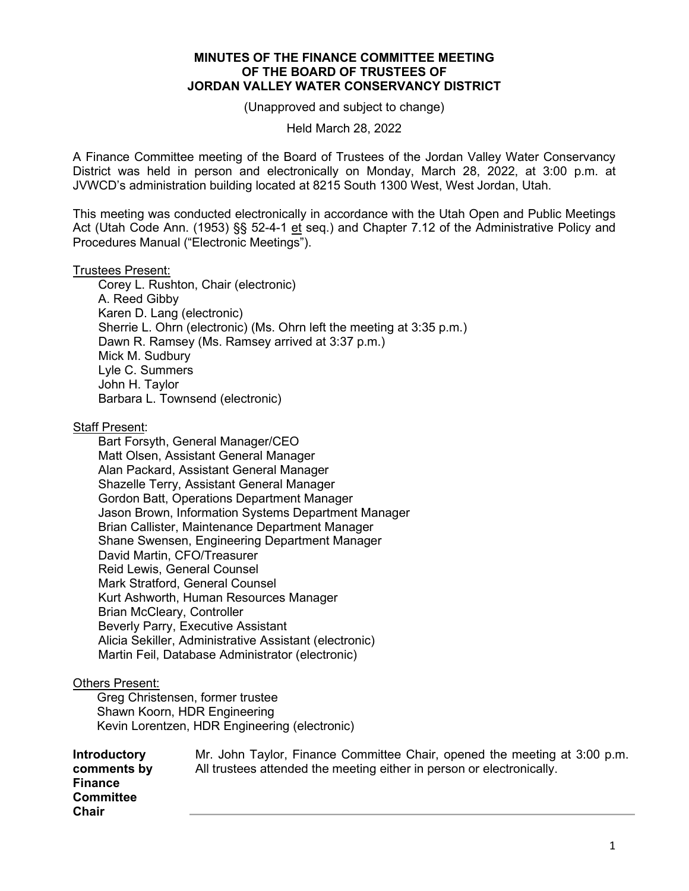## **MINUTES OF THE FINANCE COMMITTEE MEETING OF THE BOARD OF TRUSTEES OF JORDAN VALLEY WATER CONSERVANCY DISTRICT**

(Unapproved and subject to change)

Held March 28, 2022

A Finance Committee meeting of the Board of Trustees of the Jordan Valley Water Conservancy District was held in person and electronically on Monday, March 28, 2022, at 3:00 p.m. at JVWCD's administration building located at 8215 South 1300 West, West Jordan, Utah.

This meeting was conducted electronically in accordance with the Utah Open and Public Meetings Act (Utah Code Ann. (1953) §§ 52-4-1 et seq.) and Chapter 7.12 of the Administrative Policy and Procedures Manual ("Electronic Meetings").

## Trustees Present:

Corey L. Rushton, Chair (electronic) A. Reed Gibby Karen D. Lang (electronic) Sherrie L. Ohrn (electronic) (Ms. Ohrn left the meeting at 3:35 p.m.) Dawn R. Ramsey (Ms. Ramsey arrived at 3:37 p.m.) Mick M. Sudbury Lyle C. Summers John H. Taylor Barbara L. Townsend (electronic)

Staff Present:

Bart Forsyth, General Manager/CEO Matt Olsen, Assistant General Manager Alan Packard, Assistant General Manager Shazelle Terry, Assistant General Manager Gordon Batt, Operations Department Manager Jason Brown, Information Systems Department Manager Brian Callister, Maintenance Department Manager Shane Swensen, Engineering Department Manager David Martin, CFO/Treasurer Reid Lewis, General Counsel Mark Stratford, General Counsel Kurt Ashworth, Human Resources Manager Brian McCleary, Controller Beverly Parry, Executive Assistant Alicia Sekiller, Administrative Assistant (electronic) Martin Feil, Database Administrator (electronic)

## Others Present:

 Greg Christensen, former trustee Shawn Koorn, HDR Engineering Kevin Lorentzen, HDR Engineering (electronic)

| <b>Introductory</b>                                | Mr. John Taylor, Finance Committee Chair, opened the meeting at 3:00 p.m. |
|----------------------------------------------------|---------------------------------------------------------------------------|
| comments by                                        | All trustees attended the meeting either in person or electronically.     |
| <b>Finance</b><br><b>Committee</b><br><b>Chair</b> |                                                                           |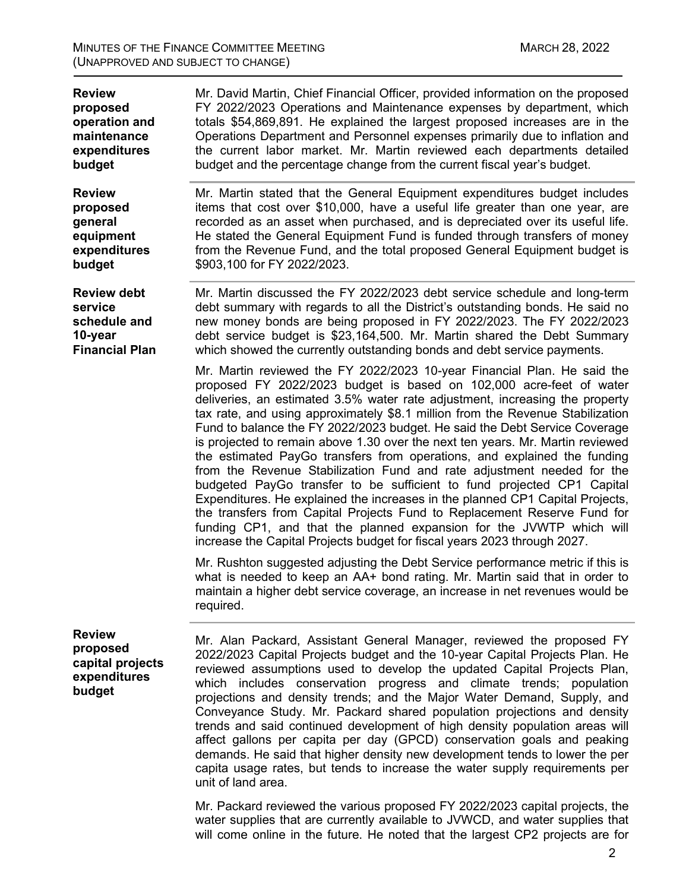| <b>Review</b><br>proposed<br>operation and<br>maintenance<br>expenditures<br>budget | Mr. David Martin, Chief Financial Officer, provided information on the proposed<br>FY 2022/2023 Operations and Maintenance expenses by department, which<br>totals \$54,869,891. He explained the largest proposed increases are in the<br>Operations Department and Personnel expenses primarily due to inflation and<br>the current labor market. Mr. Martin reviewed each departments detailed<br>budget and the percentage change from the current fiscal year's budget.                                                                                                                                                                                                                                                                                                                                                                                                                                                                                                                                                       |
|-------------------------------------------------------------------------------------|------------------------------------------------------------------------------------------------------------------------------------------------------------------------------------------------------------------------------------------------------------------------------------------------------------------------------------------------------------------------------------------------------------------------------------------------------------------------------------------------------------------------------------------------------------------------------------------------------------------------------------------------------------------------------------------------------------------------------------------------------------------------------------------------------------------------------------------------------------------------------------------------------------------------------------------------------------------------------------------------------------------------------------|
| <b>Review</b><br>proposed<br>general<br>equipment<br>expenditures<br>budget         | Mr. Martin stated that the General Equipment expenditures budget includes<br>items that cost over \$10,000, have a useful life greater than one year, are<br>recorded as an asset when purchased, and is depreciated over its useful life.<br>He stated the General Equipment Fund is funded through transfers of money<br>from the Revenue Fund, and the total proposed General Equipment budget is<br>\$903,100 for FY 2022/2023.                                                                                                                                                                                                                                                                                                                                                                                                                                                                                                                                                                                                |
| <b>Review debt</b><br>service<br>schedule and<br>10-year<br><b>Financial Plan</b>   | Mr. Martin discussed the FY 2022/2023 debt service schedule and long-term<br>debt summary with regards to all the District's outstanding bonds. He said no<br>new money bonds are being proposed in FY 2022/2023. The FY 2022/2023<br>debt service budget is \$23,164,500. Mr. Martin shared the Debt Summary<br>which showed the currently outstanding bonds and debt service payments.                                                                                                                                                                                                                                                                                                                                                                                                                                                                                                                                                                                                                                           |
|                                                                                     | Mr. Martin reviewed the FY 2022/2023 10-year Financial Plan. He said the<br>proposed FY 2022/2023 budget is based on 102,000 acre-feet of water<br>deliveries, an estimated 3.5% water rate adjustment, increasing the property<br>tax rate, and using approximately \$8.1 million from the Revenue Stabilization<br>Fund to balance the FY 2022/2023 budget. He said the Debt Service Coverage<br>is projected to remain above 1.30 over the next ten years. Mr. Martin reviewed<br>the estimated PayGo transfers from operations, and explained the funding<br>from the Revenue Stabilization Fund and rate adjustment needed for the<br>budgeted PayGo transfer to be sufficient to fund projected CP1 Capital<br>Expenditures. He explained the increases in the planned CP1 Capital Projects,<br>the transfers from Capital Projects Fund to Replacement Reserve Fund for<br>funding CP1, and that the planned expansion for the JVWTP which will<br>increase the Capital Projects budget for fiscal years 2023 through 2027. |
|                                                                                     | Mr. Rushton suggested adjusting the Debt Service performance metric if this is<br>what is needed to keep an AA+ bond rating. Mr. Martin said that in order to<br>maintain a higher debt service coverage, an increase in net revenues would be<br>required.                                                                                                                                                                                                                                                                                                                                                                                                                                                                                                                                                                                                                                                                                                                                                                        |
| <b>Review</b><br>proposed<br>capital projects<br>expenditures<br>budget             | Mr. Alan Packard, Assistant General Manager, reviewed the proposed FY<br>2022/2023 Capital Projects budget and the 10-year Capital Projects Plan. He<br>reviewed assumptions used to develop the updated Capital Projects Plan,<br>which includes conservation progress and climate trends; population<br>projections and density trends; and the Major Water Demand, Supply, and<br>Conveyance Study. Mr. Packard shared population projections and density<br>trends and said continued development of high density population areas will<br>affect gallons per capita per day (GPCD) conservation goals and peaking<br>demands. He said that higher density new development tends to lower the per<br>capita usage rates, but tends to increase the water supply requirements per<br>unit of land area.<br>Mr. Packard reviewed the various proposed FY 2022/2023 capital projects, the                                                                                                                                         |
|                                                                                     |                                                                                                                                                                                                                                                                                                                                                                                                                                                                                                                                                                                                                                                                                                                                                                                                                                                                                                                                                                                                                                    |

Mr. Packard reviewed the various proposed FY 2022/2023 capital projects, the water supplies that are currently available to JVWCD, and water supplies that will come online in the future. He noted that the largest CP2 projects are for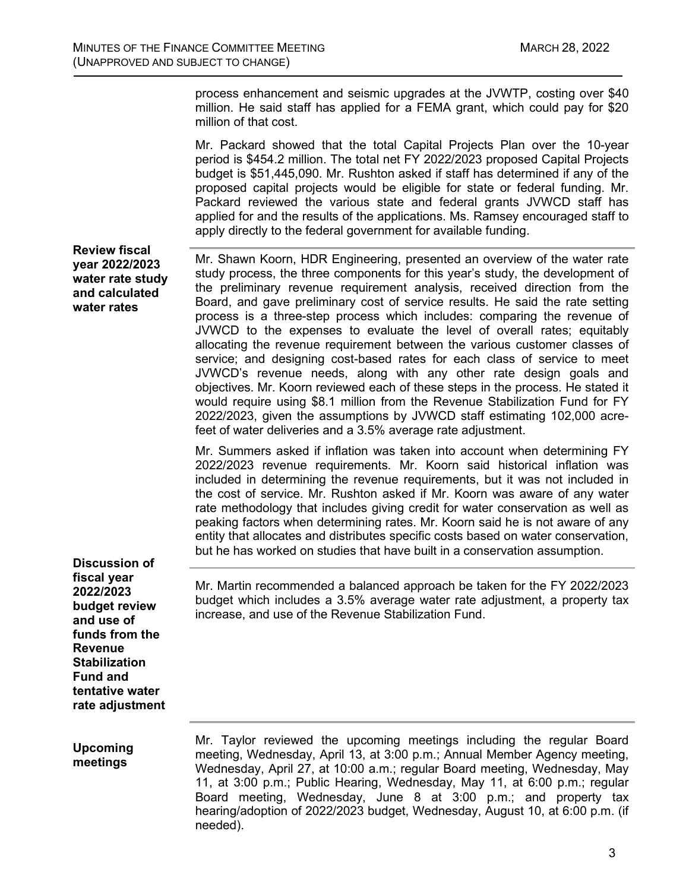process enhancement and seismic upgrades at the JVWTP, costing over \$40 million. He said staff has applied for a FEMA grant, which could pay for \$20 million of that cost.

Mr. Packard showed that the total Capital Projects Plan over the 10-year period is \$454.2 million. The total net FY 2022/2023 proposed Capital Projects budget is \$51,445,090. Mr. Rushton asked if staff has determined if any of the proposed capital projects would be eligible for state or federal funding. Mr. Packard reviewed the various state and federal grants JVWCD staff has applied for and the results of the applications. Ms. Ramsey encouraged staff to apply directly to the federal government for available funding.

**Review fiscal year 2022/2023 water rate study and calculated water rates**

Mr. Shawn Koorn, HDR Engineering, presented an overview of the water rate study process, the three components for this year's study, the development of the preliminary revenue requirement analysis, received direction from the Board, and gave preliminary cost of service results. He said the rate setting process is a three-step process which includes: comparing the revenue of JVWCD to the expenses to evaluate the level of overall rates; equitably allocating the revenue requirement between the various customer classes of service; and designing cost-based rates for each class of service to meet JVWCD's revenue needs, along with any other rate design goals and objectives. Mr. Koorn reviewed each of these steps in the process. He stated it would require using \$8.1 million from the Revenue Stabilization Fund for FY 2022/2023, given the assumptions by JVWCD staff estimating 102,000 acrefeet of water deliveries and a 3.5% average rate adjustment.

Mr. Summers asked if inflation was taken into account when determining FY 2022/2023 revenue requirements. Mr. Koorn said historical inflation was included in determining the revenue requirements, but it was not included in the cost of service. Mr. Rushton asked if Mr. Koorn was aware of any water rate methodology that includes giving credit for water conservation as well as peaking factors when determining rates. Mr. Koorn said he is not aware of any entity that allocates and distributes specific costs based on water conservation, but he has worked on studies that have built in a conservation assumption.

**Discussion of fiscal year 2022/2023 budget review and use of funds from the Revenue Stabilization Fund and tentative water rate adjustment**

Mr. Martin recommended a balanced approach be taken for the FY 2022/2023 budget which includes a 3.5% average water rate adjustment, a property tax increase, and use of the Revenue Stabilization Fund.

**Upcoming meetings**

Mr. Taylor reviewed the upcoming meetings including the regular Board meeting, Wednesday, April 13, at 3:00 p.m.; Annual Member Agency meeting, Wednesday, April 27, at 10:00 a.m.; regular Board meeting, Wednesday, May 11, at 3:00 p.m.; Public Hearing, Wednesday, May 11, at 6:00 p.m.; regular Board meeting, Wednesday, June 8 at 3:00 p.m.; and property tax hearing/adoption of 2022/2023 budget, Wednesday, August 10, at 6:00 p.m. (if needed).